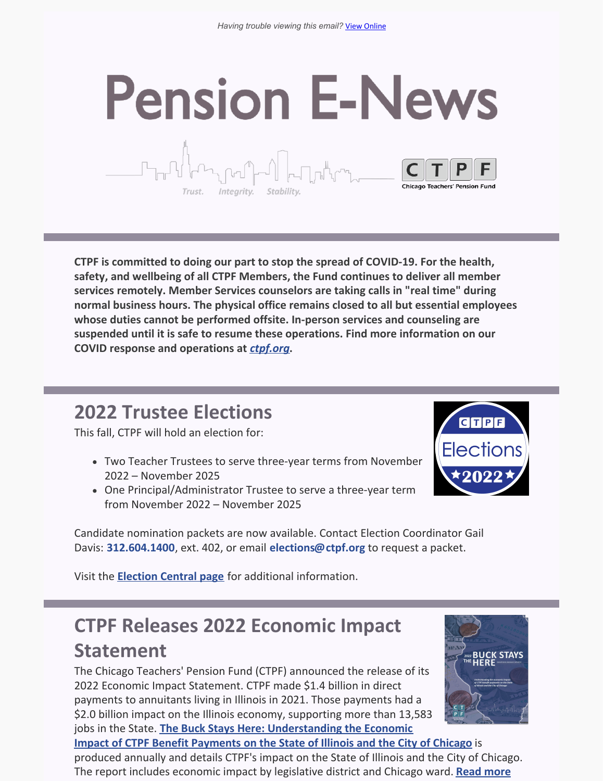# **Pension E-News** Trust. Integrity.

**CTPF is committed to doing our part to stop the spread of COVID-19. For the health, safety, and wellbeing of all CTPF Members, the Fund continues to deliver all member services remotely. Member Services counselors are taking calls in "real time" during normal business hours. The physical office remains closed to all but essential employees whose duties cannot be performed offsite. In-person services and counseling are suspended until it is safe to resume these operations. Find more information on our COVID response and operations at** *[ctpf.org](https://ctpf.org/)***.**

## **2022 Trustee Elections**

This fall, CTPF will hold an election for:

- Two Teacher Trustees to serve three-year terms from November 2022 – November 2025
- One Principal/Administrator Trustee to serve a three-year term from November 2022 – November 2025



Candidate nomination packets are now available. Contact Election Coordinator Gail Davis: **[312.604.1400](tel:312.604.1400)**, ext. 402, or email **[elections@ctpf.org](mailto:elections@ctpf.org)** to request a packet.

Visit the **[Election](https://ctpf.org/about-ctpf/election-central-2022) Central pag[e](https://ctpf.org/2020-election-central)** for additional information.

# **CTPF Releases 2022 Economic Impact Statement**

The Chicago Teachers' Pension Fund (CTPF) announced the release of its 2022 Economic Impact Statement. CTPF made \$1.4 billion in direct payments to annuitants living in Illinois in 2021. Those payments had a \$2.0 billion impact on the Illinois economy, supporting more than 13,583 jobs in the State. **The Buck Stays Here: [Understanding](https://nam11.safelinks.protection.outlook.com/?url=https%3A%2F%2Fr20.rs6.net%2Ftn.jsp%3Ff%3D001Vw0GGMLQZ2gr-qmmhfPjf-9MQdwLOfOwJEIc1kL1-Av7Vl5JBbBG5HuGY-UvYjWDTkpPIX9UMdVaiJ9CXFWvs_Z-4N-UDP1zhRQtkRidCBwM01HXqVqUY_MWSLRLSdjIStIHsRX_3RRnofdH5CZ4eO8ayqH0YaQGhEOY6Oc8nw2GtNVq__8IhbYoBq6Dq6QZtI_qVBtbutx_EboWJJCgHuYgiBjkqC6BWwiVXLx_CxqPYmKM48iflA%3D%3D%26c%3D1sHzzLpK8x1Rl-63Mp2WiJ1kw7-I-w1qCuNAfQjcxL11UaA6wLkANw%3D%3D%26ch%3DRfPfz5ZnayDKd1S_MCUEwuq59WMgGdAt8UpxglGt5HgPwfpe12fTpw%3D%3D&data=04%7C01%7Ckaisere%40ctpf.org%7Ce6e1046d89164514957208da1bbbeb38%7Ca881b9a43fe041eb97266e31ebe4d79e%7C1%7C0%7C637852791182670811%7CUnknown%7CTWFpbGZsb3d8eyJWIjoiMC4wLjAwMDAiLCJQIjoiV2luMzIiLCJBTiI6Ik1haWwiLCJXVCI6Mn0%3D%7C3000&sdata=%2Fzl0tA7lcuMs2CG9jHronBsJGEcnCwtYhOxyYF9PanY%3D&reserved=0) the Economic**

**Impact of CTPF Benefit Payments on the State of Illinois and the City of Chicago** is produced annually and details CTPF's impact on the State of Illinois and the City of Chicago. The report includes economic impact by [legislative](https://ctpf.org/news/chicago-teachers-pension-fund-provides-20-billion-positive-impact-illinois-economy) district and Chicago ward. **Read more**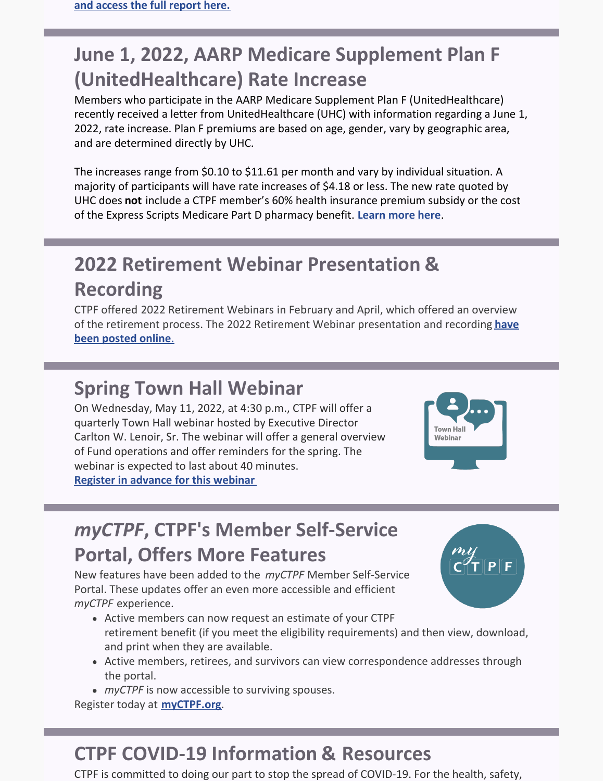# **June 1, 2022, AARP Medicare Supplement Plan F (UnitedHealthcare) Rate Increase**

Members who participate in the AARP Medicare Supplement Plan F (UnitedHealthcare) recently received a letter from UnitedHealthcare (UHC) with information regarding a June 1, 2022, rate increase. Plan F premiums are based on age, gender, vary by geographic area, and are determined directly by UHC.

The increases range from \$0.10 to \$11.61 per month and vary by individual situation. A majority of participants will have rate increases of \$4.18 or less. The new rate quoted by UHC does **not** include a CTPF member's 60% health insurance premium subsidy or the cost of the Express Scripts Medicare Part D pharmacy benefit. **[Learn](https://ctpf.org/news/june-1-2022-aarp-medicare-supplement-plan-f-unitedhealthcare-rate-increase) more here**.

# **2022 Retirement Webinar Presentation & Recording**

CTPF offered 2022 Retirement Webinars in February and April, which offered an overview of the retirement process. The 2022 Retirement Webinar [presentation](https://www.ctpf.org/member-resources/active-members/retirement-application) and recording **have been posted online**[.](https://www.ctpf.org/member-resources/active-members/retirement-application)

### **Spring Town Hall Webinar**

On Wednesday, May 11, 2022, at 4:30 p.m., CTPF will offer a quarterly Town Hall webinar hosted by Executive Director Carlton W. Lenoir, Sr. The webinar will offer a general overview of Fund operations and offer reminders for the spring. The webinar is expected to last about 40 minutes. **Register in [advance](https://ctpf.zoom.us/webinar/register/WN_ES8Ey04ZSWmb9K7yfUFRNg) for this webinar**



# *myCTPF***, CTPF's Member Self-Service Portal, Offers More Features**

New features have been added to the *myCTPF* Member Self-Service Portal. These updates offer an even more accessible and efficient *myCTPF* experience.

- Active members can now request an estimate of your CTPF retirement benefit (if you meet the eligibility requirements) and then view, download, and print when they are available.
- Active members, retirees, and survivors can view correspondence addresses through the portal.
- *myCTPF* is now accessible to surviving spouses.

Register today at **[myCTPF.org](https://ctpf.org/myctpf)**.

# **CTPF COVID-19 Information & Resources**

CTPF is committed to doing our part to stop the spread of COVID-19. For the health, safety,

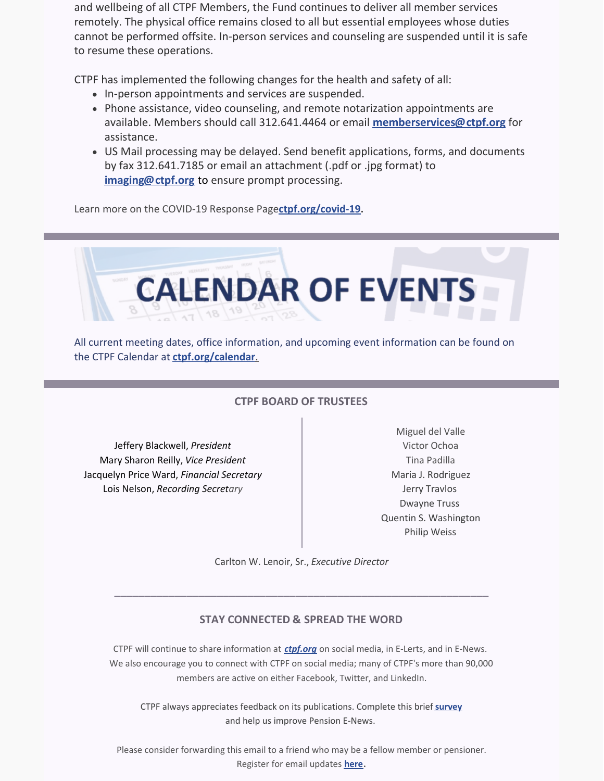and wellbeing of all CTPF Members, the Fund continues to deliver all member services remotely. The physical office remains closed to all but essential employees whose duties cannot be performed offsite. In-person services and counseling are suspended until it is safe to resume these operations.

CTPF has implemented the following changes for the health and safety of all:

- In-person appointments and services are suspended.
- Phone assistance, video counseling, and remote notarization appointments are available. Members should call 312.641.4464 or email **[memberservices@ctpf.org](mailto:memberservices@ctpf.org)** for assistance.
- US Mail processing may be delayed. Send benefit applications, forms, and documents by fax 312.641.7185 or email an attachment (.pdf or .jpg format) to **[imaging@ctpf.org](mailto:imaging@ctpf.org)** to ensure prompt processing.

Learn more on the COVID-19 Response Page**[ctpf.org/covid-19](https://ctpf.org/news-calendar/covid-19).**



All current meeting dates, office information, and upcoming event information can be found on the CTPF Calendar at **[ctpf.org/calendar](https://ctpf.org/news-calendar/calendar)**[.](https://ctpf.org/news-calendar/calendar)

#### **CTPF BOARD OF TRUSTEES**

Jeffery Blackwell, *President* Mary Sharon Reilly, *Vice President* Jacquelyn Price Ward, *Financial Secretary* Lois Nelson, *Recording Secretary*

Miguel del Valle Victor Ochoa Tina Padilla Maria J. Rodriguez Jerry Travlos Dwayne Truss Quentin S. Washington Philip Weiss

Carlton W. Lenoir, Sr., *Executive Director*

\_\_\_\_\_\_\_\_\_\_\_\_\_\_\_\_\_\_\_\_\_\_\_\_\_\_\_\_\_\_\_\_\_\_\_\_\_\_\_\_\_\_\_\_\_\_\_\_\_\_\_\_\_\_\_\_\_\_\_\_\_\_

#### **STAY CONNECTED & SPREAD THE WORD**

CTPF will continue to share information at *[ctpf.org](https://nam11.safelinks.protection.outlook.com/?url=http%3A%2F%2Fr20.rs6.net%2Ftn.jsp%3Ff%3D001Oq0TM6CVsKr16mBIJWQ5Txgxq1D0DQ71XepjiVhvp5Bdir-9OjtYv4LvxhiMPX2GMPhwQfjmGHSdxSfrYvZaxDcty5YgMIa2e4clI6Ts6waNsooyMHn65iLHXWPKwOOd30ezxEKSRSqFlYqdRQfouIjIJQZcg43n%26c%3DrrHtvthGwuyW-ZAKLc0ZJMgKnz-9DQ4rvOuN8tBf3R8ihnUal54aXQ%3D%3D%26ch%3DsUd1tqkBvQncZr6j3v8_KZ5FYGxfMqIG7_Uzp-Y8v0_abEJ6gyT9OQ%3D%3D&data=04%7C01%7Ckaisere%40ctpf.org%7Ca8d8058eb5784c1d00c408d97862b086%7Ca881b9a43fe041eb97266e31ebe4d79e%7C1%7C1%7C637673187538378334%7CUnknown%7CTWFpbGZsb3d8eyJWIjoiMC4wLjAwMDAiLCJQIjoiV2luMzIiLCJBTiI6Ik1haWwiLCJXVCI6Mn0%3D%7C2000&sdata=ZcVOMCBM0BfT2fvi6WFD2bOfU%2FDpDXFwLKqUbjlrJRI%3D&reserved=0)* on social media, in E-Lerts, and in E-News. We also encourage you to connect with CTPF on social media; many of CTPF's more than 90,000 members are active on either Facebook, Twitter, and LinkedIn.

CTPF always appreciates feedback on its publications. Complete this brief **[survey](https://lp.constantcontactpages.com/sv/uZ1iAhw/ctpfsurvey?source_id=727d79aa-a616-4ad3-93e3-aedcfe866e6c&source_type=em&c=)** and help us improve Pension E-News.

Please consider forwarding this email to a friend who may be a fellow member or pensioner. Register for email updates **[here](https://nam11.safelinks.protection.outlook.com/?url=http%3A%2F%2Fr20.rs6.net%2Ftn.jsp%3Ff%3D001Oq0TM6CVsKr16mBIJWQ5Txgxq1D0DQ71XepjiVhvp5Bdir-9OjtYv2alLWRjItSi41VOVQYLBbbOx2uSotrg_jsUewXaontdBcCweMzZygP9UW20T1cB8I1Rst8sHfd-uuqzKP5Qb8vmEYpFv8RFdtoJb4huFB7xnhLlHOpsZRE%3D%26c%3DrrHtvthGwuyW-ZAKLc0ZJMgKnz-9DQ4rvOuN8tBf3R8ihnUal54aXQ%3D%3D%26ch%3DsUd1tqkBvQncZr6j3v8_KZ5FYGxfMqIG7_Uzp-Y8v0_abEJ6gyT9OQ%3D%3D&data=04%7C01%7Ckaisere%40ctpf.org%7Ca8d8058eb5784c1d00c408d97862b086%7Ca881b9a43fe041eb97266e31ebe4d79e%7C1%7C1%7C637673187538378334%7CUnknown%7CTWFpbGZsb3d8eyJWIjoiMC4wLjAwMDAiLCJQIjoiV2luMzIiLCJBTiI6Ik1haWwiLCJXVCI6Mn0%3D%7C2000&sdata=JBOfYXXj9egz1TwwWTdZpw3RG4ySDStWzjkXE1gfoaM%3D&reserved=0)**.